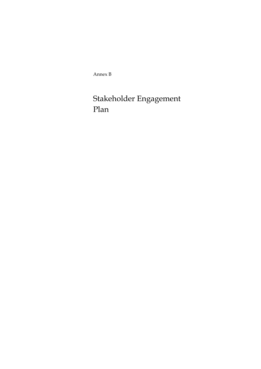Annex B

# Stakeholder Engagement Plan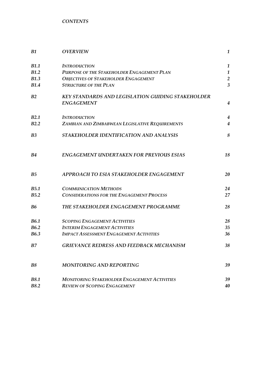*CONTENTS* 

| <b>B1</b>      | <b>OVERVIEW</b>                                     | 1                       |
|----------------|-----------------------------------------------------|-------------------------|
| <b>B1.1</b>    | <b>INTRODUCTION</b>                                 | $\boldsymbol{1}$        |
| <b>B1.2</b>    | PURPOSE OF THE STAKEHOLDER ENGAGEMENT PLAN          | $\mathbf{1}$            |
| B1.3           | <b>OBJECTIVES OF STAKEHOLDER ENGAGEMENT</b>         | $\overline{2}$          |
| B1.4           | <b>STRUCTURE OF THE PLAN</b>                        | $\overline{\mathbf{3}}$ |
| B2             | KEY STANDARDS AND LEGISLATION GUIDING STAKEHOLDER   |                         |
|                | <b>ENGAGEMENT</b>                                   | $\overline{4}$          |
| B2.1           | <b>INTRODUCTION</b>                                 | $\overline{4}$          |
| B2.2           | ZAMBIAN AND ZIMBABWEAN LEGISLATIVE REQUIREMENTS     | $\overline{4}$          |
| B <sub>3</sub> | STAKEHOLDER IDENTIFICATION AND ANALYSIS             | 8                       |
| <b>B4</b>      | <b>ENGAGEMENT UNDERTAKEN FOR PREVIOUS ESIAS</b>     | 18                      |
| B <sub>5</sub> | APPROACH TO ESIA STAKEHOLDER ENGAGEMENT             | 20                      |
| <b>B5.1</b>    | <b>COMMUNICATION METHODS</b>                        | 24                      |
| B5.2           | <b>CONSIDERATIONS FOR THE ENGAGEMENT PROCESS</b>    | 27                      |
| <b>B6</b>      | THE STAKEHOLDER ENGAGEMENT PROGRAMME                | 28                      |
| <b>B6.1</b>    | <b>SCOPING ENGAGEMENT ACTIVITIES</b>                | 28                      |
| <b>B6.2</b>    | <b>INTERIM ENGAGEMENT ACTIVITIES</b>                | 35                      |
| <b>B6.3</b>    | <b>IMPACT ASSESSMENT ENGAGEMENT ACTIVITIES</b>      | 36                      |
| B7             | GRIEVANCE REDRESS AND FEEDBACK MECHANISM            | 38                      |
| <b>B8</b>      | <b>MONITORING AND REPORTING</b>                     | 39                      |
| <b>B8.1</b>    | <b>MONITORING STAKEHOLDER ENGAGEMENT ACTIVITIES</b> | 39                      |
| <b>B8.2</b>    | <b>REVIEW OF SCOPING ENGAGEMENT</b>                 | 40                      |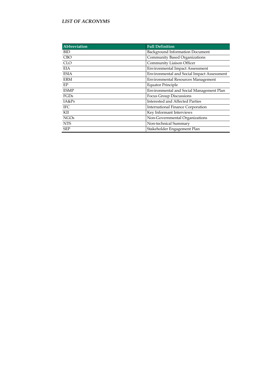#### *LIST OF ACRONYMS*

| Abbreviation | <b>Full Definition</b>                     |
|--------------|--------------------------------------------|
| <b>BID</b>   | <b>Background Information Document</b>     |
| <b>CBO</b>   | Community Based Organizations              |
| <b>CLO</b>   | Community Liaison Officer                  |
| <b>EIA</b>   | <b>Environmental Impact Assessment</b>     |
| <b>ESIA</b>  | Environmental and Social Impact Assessment |
| <b>ERM</b>   | <b>Environmental Resources Management</b>  |
| EP           | <b>Equator Principle</b>                   |
| <b>ESMP</b>  | Environmental and Social Management Plan   |
| FGDs         | Focus Group Discussions                    |
| IA&Ps        | Interested and Affected Parties            |
| <b>IFC</b>   | <b>International Finance Corporation</b>   |
| KII          | Key Informant Interviews                   |
| <b>NGOs</b>  | Non-Governmental Organizations             |
| <b>NTS</b>   | Non-technical Summary                      |
| <b>SEP</b>   | Stakeholder Engagement Plan                |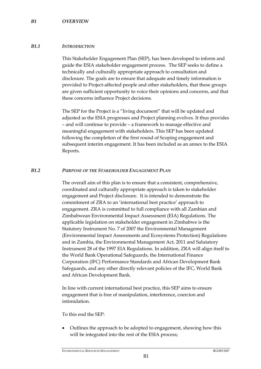# *B1.1 INTRODUCTION*

This Stakeholder Engagement Plan (SEP), has been developed to inform and guide the ESIA stakeholder engagement process. The SEP seeks to define a technically and culturally appropriate approach to consultation and disclosure. The goals are to ensure that adequate and timely information is provided to Project-affected people and other stakeholders, that these groups are given sufficient opportunity to voice their opinions and concerns, and that these concerns influence Project decisions.

The SEP for the Project is a "living document" that will be updated and adjusted as the ESIA progresses and Project planning evolves. It thus provides – and will continue to provide – a framework to manage effective and meaningful engagement with stakeholders. This SEP has been updated following the completion of the first round of Scoping engagement and subsequent interim engagement. It has been included as an annex to the ESIA Reports.

# *B1.2 PURPOSE OF THE STAKEHOLDER ENGAGEMENT PLAN*

The overall aim of this plan is to ensure that a consistent, comprehensive, coordinated and culturally appropriate approach is taken to stakeholder engagement and Project disclosure. It is intended to demonstrate the commitment of ZRA to an 'international best practice' approach to engagement. ZRA is committed to full compliance with all Zambian and Zimbabwean Environmental Impact Assessment (EIA) Regulations. The applicable legislation on stakeholder engagement in Zimbabwe is the Statutory Instrument No. 7 of 2007 the Environmental Management (Environmental Impact Assessments and Ecosystems Protection) Regulations and in Zambia, the Environmental Management Act, 2011 and Salutatory Instrument 28 of the 1997 EIA Regulations. In addition, ZRA will align itself to the World Bank Operational Safeguards, the International Finance Corporation (IFC) Performance Standards and African Development Bank Safeguards, and any other directly relevant policies of the IFC, World Bank and African Development Bank.

In line with current international best practice, this SEP aims to ensure engagement that is free of manipulation, interference, coercion and intimidation.

To this end the SEP:

 Outlines the approach to be adopted to engagement, showing how this will be integrated into the rest of the ESIA process;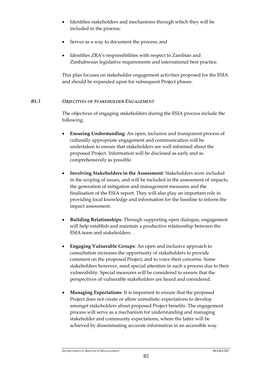- Identifies stakeholders and mechanisms through which they will be included in the process;
- Serves as a way to document the process; and
- Identifies ZRA's responsibilities with respect to Zambian and Zimbabwean legislative requirements and international best practice.

This plan focuses on stakeholder engagement activities proposed for the ESIA and should be expanded upon for subsequent Project phases.

# *B1.3 OBJECTIVES OF STAKEHOLDER ENGAGEMENT*

The objectives of engaging stakeholders during the ESIA process include the following.

- **Ensuring Understanding**: An open, inclusive and transparent process of culturally appropriate engagement and communication will be undertaken to ensure that stakeholders are well informed about the proposed Project. Information will be disclosed as early and as comprehensively as possible.
- **Involving Stakeholders in the Assessment**: Stakeholders were included in the scoping of issues, and will be included in the assessment of impacts, the generation of mitigation and management measures and the finalisation of the ESIA report. They will also play an important role in providing local knowledge and information for the baseline to inform the impact assessment.
- **Building Relationships**: Through supporting open dialogue, engagement will help establish and maintain a productive relationship between the ESIA team and stakeholders.
- **Engaging Vulnerable Groups**: An open and inclusive approach to consultation increases the opportunity of stakeholders to provide comment on the proposed Project, and to voice their concerns. Some stakeholders however, need special attention in such a process due to their vulnerability. Special measures will be considered to ensure that the perspectives of vulnerable stakeholders are heard and considered.
- **Managing Expectations**: It is important to ensure that the proposed Project does not create or allow unrealistic expectations to develop amongst stakeholders about proposed Project benefits. The engagement process will serve as a mechanism for understanding and managing stakeholder and community expectations, where the latter will be achieved by disseminating accurate information in an accessible way.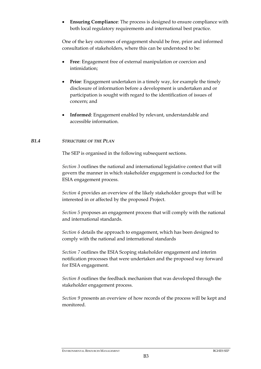**Ensuring Compliance**: The process is designed to ensure compliance with both local regulatory requirements and international best practice.

One of the key outcomes of engagement should be free, prior and informed consultation of stakeholders, where this can be understood to be:

- **Free**: Engagement free of external manipulation or coercion and intimidation;
- **Prior**: Engagement undertaken in a timely way, for example the timely disclosure of information before a development is undertaken and or participation is sought with regard to the identification of issues of concern; and
- **Informed**: Engagement enabled by relevant, understandable and accessible information.

#### *B1.4 STRUCTURE OF THE PLAN*

The SEP is organised in the following subsequent sections.

*Section 3* outlines the national and international legislative context that will govern the manner in which stakeholder engagement is conducted for the ESIA engagement process.

*Section 4* provides an overview of the likely stakeholder groups that will be interested in or affected by the proposed Project.

*Section 5* proposes an engagement process that will comply with the national and international standards.

*Section 6* details the approach to engagement, which has been designed to comply with the national and international standards

*Section 7* outlines the ESIA Scoping stakeholder engagement and interim notification processes that were undertaken and the proposed way forward for ESIA engagement.

*Section 8* outlines the feedback mechanism that was developed through the stakeholder engagement process.

*Section 9* presents an overview of how records of the process will be kept and monitored.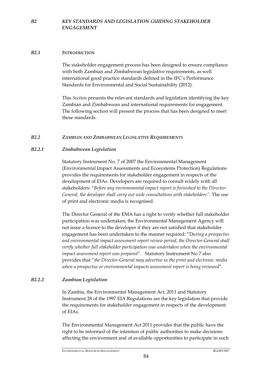# *B2.1 INTRODUCTION*

The stakeholder engagement process has been designed to ensure compliance with both Zambian and Zimbabwean legislative requirements, as well international good practice standards defined in the IFC's Performance Standards for Environmental and Social Sustainability (2012).

This *Section* presents the relevant standards and legislation identifying the key Zambian and Zimbabwean and international requirements for engagement. The following section will present the process that has been designed to meet these standards.

# *B2.2 ZAMBIAN AND ZIMBABWEAN LEGISLATIVE REQUIREMENTS*

# *B2.2.1 Zimbabwean Legislation*

Statutory Instrument No. 7 of 2007 the Environmental Management (Environmental Impact Assessments and Ecosystems Protection) Regulations provides the requirements for stakeholder engagement in respects of the development of EIAs. Developers are required to consult widely with all stakeholders: "*Before any environmental impact report is furnished to the Director-General, the developer shall carry out wide consultations with stakeholders"*. The use of print and electronic media is recognised.

The Director General of the EMA has a right to verify whether full stakeholder participation was undertaken; the Environmental Management Agency will not issue a licence to the developer if they are not satisfied that stakeholder engagement has been undertaken to the manner required: "D*uring a prospectus and environmental impact assessment report review period, the Director-General shall verify whether full stakeholder participation was undertaken when the environmental impact assessment report was prepared".* Statutory Instrument No 7 also provides that "*the Director-General may advertise in the print and electronic media when a prospectus or environmental impacts assessment report is being reviewed*".

# *B2.2.2 Zambian Legislation*

In Zambia, the Environmental Management Act, 2011 and Statutory Instrument 28 of the 1997 EIA Regulations are the key legislation that provide the requirements for stakeholder engagement in respects of the development of EIAs.

The Environmental Management Act 2011 provides that the public have the right to be informed of the intention of public authorities to make decisions affecting the environment and of available opportunities to participate in such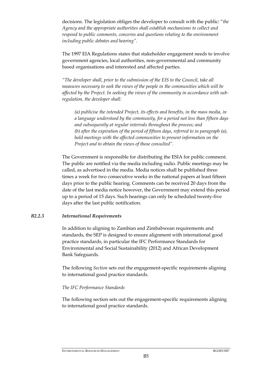decisions. The legislation obliges the developer to consult with the public: "*the Agency and the appropriate authorities shall establish mechanisms to collect and respond to public comments, concerns and questions relating to the environment including public debates and hearing".* 

The 1997 EIA Regulations states that stakeholder engagement needs to involve government agencies, local authorities, non-governmental and community based organisations and interested and affected parties.

*"The developer shall, prior to the submission of the EIS to the Council, take all measures necessary to seek the views of the people in the communities which will be affected by the Project. In seeking the views of the community in accordance with subregulation, the developer shall:* 

*(a) publicise the intended Project, its effects and benefits, in the mass media, in a language understood by the community, for a period not less than fifteen days and subsequently at regular intervals throughout the process; and (b) after the expiration of the period of fifteen days, referred to in paragraph (a), hold meetings with the affected communities to present information on the Project and to obtain the views of those consulted".* 

The Government is responsible for distributing the ESIA for public comment. The public are notified via the media including radio. Public meetings may be called, as advertised in the media. Media notices shall be published three times a week for two consecutive weeks in the national papers at least fifteen days prior to the public hearing. Comments can be received 20 days from the date of the last media notice however, the Government may extend this period up to a period of 15 days. Such hearings can only be scheduled twenty-five days after the last public notification.

#### *B2.2.3 International Requirements*

In addition to aligning to Zambian and Zimbabwean requirements and standards, the SEP is designed to ensure alignment with international good practice standards, in particular the IFC Performance Standards for Environmental and Social Sustainability (2012) and African Development Bank Safeguards.

The following *Section* sets out the engagement-specific requirements aligning to international good practice standards.

# *The IFC Performance Standards*

The following section sets out the engagement-specific requirements aligning to international good practice standards.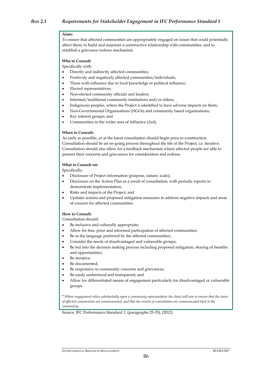#### **Aims:**

To ensure that affected communities are appropriately engaged on issues that could potentially affect them; to build and maintain a constructive relationship with communities; and to establish a grievance redress mechanism.

#### **Who to Consult:**

Specifically with:

- Directly and indirectly affected communities;
- Positively and negatively affected communities/individuals;
- Those with influence due to local knowledge or political influence;
- Elected representatives;
- Non-elected community officials and leaders;
- Informal/traditional community institutions and/or elders;
- Indigenous peoples, where the Project is identified to have adverse impacts on them;
- Non-Governmental Organisations (NGOs) and community based organisations;
- Key interest groups; and
- Communities in the wider area of influence (AoI).

#### **When to Consult:**

As early as possible, or at the latest consultation should begin prior to construction. Consultation should be an on-going process throughout the life of the Project, i.e. iterative. Consultation should also allow for a feedback mechanism where affected people are able to present their concerns and grievances for consideration and redress.

#### **What to Consult on:**

Specifically:

- Disclosure of Project information (purpose, nature, scale);
- Disclosure on the Action Plan as a result of consultation, with periodic reports to demonstrate implementation;
- Risks and impacts of the Project; and
- Updates actions and proposed mitigation measures to address negative impacts and areas of concern for affected communities.

#### **How to Consult:**

Consultation should:

- Be inclusive and culturally appropriate;
- Allow for free, prior and informed participation of affected communities;
- Be in the language preferred by the affected communities;
- Consider the needs of disadvantaged and vulnerable groups;
- Be fed into the decision making process including proposed mitigation, sharing of benefits and opportunities;
- Be iterative;
- Be documented;
- Be responsive to community concerns and grievances;
- Be easily understood and transparent; and
- Allow for differentiated means of engagement particularly for disadvantaged or vulnerable groups.

\* *Where engagement relies substantially upon a community representative the client will aim to ensure that the views of affected communities are communicated, and that the results of consultation are communicated back to the community.*

Source: IFC Performance Standard 1, (paragraphs 25-35), (2012)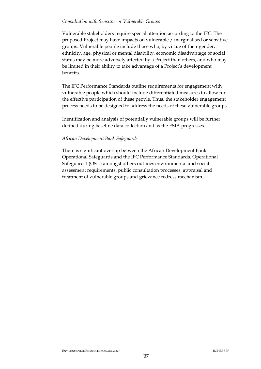#### *Consultation with Sensitive or Vulnerable Groups*

Vulnerable stakeholders require special attention according to the IFC. The proposed Project may have impacts on vulnerable / marginalised or sensitive groups. Vulnerable people include those who, by virtue of their gender, ethnicity, age, physical or mental disability, economic disadvantage or social status may be more adversely affected by a Project than others, and who may be limited in their ability to take advantage of a Project's development benefits.

The IFC Performance Standards outline requirements for engagement with vulnerable people which should include differentiated measures to allow for the effective participation of these people. Thus, the stakeholder engagement process needs to be designed to address the needs of these vulnerable groups.

Identification and analysis of potentially vulnerable groups will be further defined during baseline data collection and as the ESIA progresses.

# *African Development Bank Safeguards*

There is significant overlap between the African Development Bank Operational Safeguards and the IFC Performance Standards. Operational Safeguard 1 (OS 1) amongst others outlines environmental and social assessment requirements, public consultation processes, appraisal and treatment of vulnerable groups and grievance redress mechanism.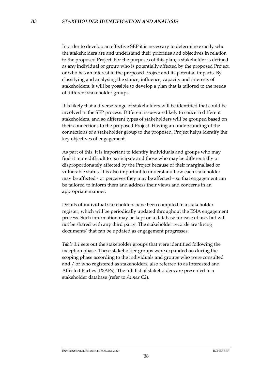In order to develop an effective SEP it is necessary to determine exactly who the stakeholders are and understand their priorities and objectives in relation to the proposed Project. For the purposes of this plan, a stakeholder is defined as any individual or group who is potentially affected by the proposed Project, or who has an interest in the proposed Project and its potential impacts. By classifying and analysing the stance, influence, capacity and interests of stakeholders, it will be possible to develop a plan that is tailored to the needs of different stakeholder groups.

It is likely that a diverse range of stakeholders will be identified that could be involved in the SEP process. Different issues are likely to concern different stakeholders, and so different types of stakeholders will be grouped based on their connections to the proposed Project. Having an understanding of the connections of a stakeholder group to the proposed, Project helps identify the key objectives of engagement.

As part of this, it is important to identify individuals and groups who may find it more difficult to participate and those who may be differentially or disproportionately affected by the Project because of their marginalised or vulnerable status. It is also important to understand how each stakeholder may be affected - or perceives they may be affected – so that engagement can be tailored to inform them and address their views and concerns in an appropriate manner.

Details of individual stakeholders have been compiled in a stakeholder register, which will be periodically updated throughout the ESIA engagement process. Such information may be kept on a database for ease of use, but will not be shared with any third party. The stakeholder records are 'living documents' that can be updated as engagement progresses.

*Table 3.1* sets out the stakeholder groups that were identified following the inception phase. These stakeholder groups were expanded on during the scoping phase according to the individuals and groups who were consulted and / or who registered as stakeholders, also referred to as Interested and Affected Parties (I&APs). The full list of stakeholders are presented in a stakeholder database (refer to *Annex C2*).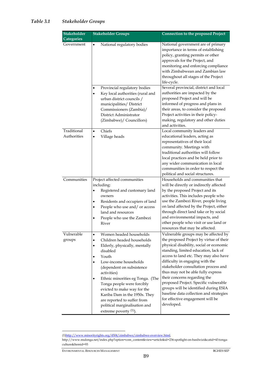# *Table 3.1 Stakeholder Groups*

| <b>Stakeholder</b><br><b>Categories</b> | <b>Stakeholder Groups</b>                                                                                                                                                                                                                                                                                                                                                                                                                                                            | <b>Connection to the proposed Project</b>                                                                                                                                                                                                                                                                                                                                                                                                                                                                                                    |
|-----------------------------------------|--------------------------------------------------------------------------------------------------------------------------------------------------------------------------------------------------------------------------------------------------------------------------------------------------------------------------------------------------------------------------------------------------------------------------------------------------------------------------------------|----------------------------------------------------------------------------------------------------------------------------------------------------------------------------------------------------------------------------------------------------------------------------------------------------------------------------------------------------------------------------------------------------------------------------------------------------------------------------------------------------------------------------------------------|
| Government                              | National regulatory bodies<br>$\bullet$                                                                                                                                                                                                                                                                                                                                                                                                                                              | National government are of primary<br>importance in terms of establishing<br>policy, granting permits or other<br>approvals for the Project, and<br>monitoring and enforcing compliance<br>with Zimbabwean and Zambian law<br>throughout all stages of the Project<br>life-cycle.                                                                                                                                                                                                                                                            |
|                                         | Provincial regulatory bodies<br>$\bullet$<br>Key local authorities (rural and<br>$\bullet$<br>urban district councils /<br>municipalities/ District<br>Commissioners (Zambia)/<br>District Administrator<br>(Zimbabwe)/ Councillors)                                                                                                                                                                                                                                                 | Several provincial, district and local<br>authorities are impacted by the<br>proposed Project and will be<br>informed of progress and plans in<br>their areas, to consider the proposed<br>Project activities in their policy-<br>making, regulatory and other duties<br>and activities.                                                                                                                                                                                                                                                     |
| Traditional<br>Authorities              | Chiefs<br>$\bullet$<br>Village heads<br>$\bullet$                                                                                                                                                                                                                                                                                                                                                                                                                                    | Local community leaders and<br>educational leaders, acting as<br>representatives of their local<br>community. Meetings with<br>traditional authorities will follow<br>local practices and be held prior to<br>any wider communication in local<br>communities in order to respect the<br>political and social structures.                                                                                                                                                                                                                    |
| Communities                             | Project affected communities<br>including:<br>Registered and customary land<br>٠<br>owners<br>Residents and occupiers of land<br>٠<br>People who use and/ or access<br>$\bullet$<br>land and resources<br>People who use the Zambezi<br>River                                                                                                                                                                                                                                        | Households and communities that<br>will be directly or indirectly affected<br>by the proposed Project and its<br>activities. This includes people who<br>use the Zambezi River, people living<br>on land affected by the Project, either<br>through direct land take or by social<br>and environmental impacts, and<br>other people who visit or use land or<br>resources that may be affected.                                                                                                                                              |
| Vulnerable<br>groups                    | Women headed households<br>$\bullet$<br>Children headed households<br>$\bullet$<br>Elderly, physically, mentally<br>$\bullet$<br>disabled<br>Youth<br>$\bullet$<br>Low-income households<br>٠<br>(dependent on subsistence<br>activities)<br>Ethnic minorities eg Tonga. (The<br>$\bullet$<br>Tonga people were forcibly<br>evicted to make way for the<br>Kariba Dam in the 1950s. They<br>are reported to suffer from<br>political marginalisation and<br>extreme poverty $(1)$ ). | Vulnerable groups may be affected by<br>the proposed Project by virtue of their<br>physical disability, social or economic<br>standing, limited education, lack of<br>access to land etc. They may also have<br>difficulty in engaging with the<br>stakeholder consultation process and<br>thus may not be able fully express<br>their concerns regarding the<br>proposed Project. Specific vulnerable<br>groups will be identified during ESIA<br>baseline data collection and strategies<br>for effective engagement will be<br>developed. |

ENVIRONMENTAL RESOURCES MANAGEMENT BGHES SEP

<u>.</u>

<sup>(1)</sup>http://www.minorityrights.org/4504/zimbabwe/zimbabwe-overview.html,

http://www.mulonga.net/index.php?option=com\_content&view=article&id=236:spotlight-on-basilwizi&catid=43:tongaculture&Itemid=93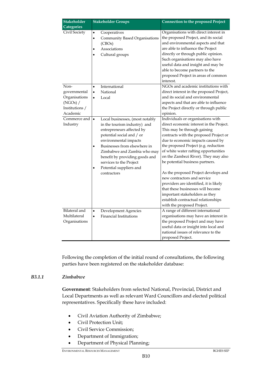| Stakeholder<br><b>Categories</b>                                                | <b>Stakeholder Groups</b>                                                                                                                                                                                                                                                                                                             | <b>Connection to the proposed Project</b>                                                                                                                                                                                                                                                                                                                                                                                                                                                                                                                                                                           |
|---------------------------------------------------------------------------------|---------------------------------------------------------------------------------------------------------------------------------------------------------------------------------------------------------------------------------------------------------------------------------------------------------------------------------------|---------------------------------------------------------------------------------------------------------------------------------------------------------------------------------------------------------------------------------------------------------------------------------------------------------------------------------------------------------------------------------------------------------------------------------------------------------------------------------------------------------------------------------------------------------------------------------------------------------------------|
| Civil Society                                                                   | Cooperatives<br>$\bullet$<br><b>Community Based Organisations</b><br>$\bullet$<br>(CBOs)<br>Associations<br>$\bullet$<br>Cultural groups                                                                                                                                                                                              | Organisations with direct interest in<br>the proposed Project, and its social<br>and environmental aspects and that<br>are able to influence the Project<br>directly or through public opinion.<br>Such organisations may also have<br>useful data and insight and may be<br>able to become partners to the<br>proposed Project in areas of common<br>interest.                                                                                                                                                                                                                                                     |
| Non-<br>governmental<br>Organisations<br>(NGOs) /<br>Institutions /<br>Academic | International<br>$\bullet$<br>National<br>$\bullet$<br>Local<br>$\bullet$                                                                                                                                                                                                                                                             | NGOs and academic institutions with<br>direct interest in the proposed Project,<br>and its social and environmental<br>aspects and that are able to influence<br>the Project directly or through public<br>opinion.                                                                                                                                                                                                                                                                                                                                                                                                 |
| Commerce and<br>Industry                                                        | Local businesses, (most notably<br>$\bullet$<br>in the tourism industry) and<br>entrepreneurs affected by<br>potential social and / or<br>environmental impacts<br>Businesses from elsewhere in<br>Zimbabwe and Zambia who may<br>benefit by providing goods and<br>services to the Project<br>Potential suppliers and<br>contractors | Individuals or organisations with<br>direct economic interest in the Project.<br>This may be through gaining<br>contracts with the proposed Project or<br>due to economic impacts caused by<br>the proposed Project (e.g. reduction<br>of white water rafting opportunities<br>on the Zambezi River). They may also<br>be potential business partners.<br>As the proposed Project develops and<br>new contractors and service<br>providers are identified, it is likely<br>that these businesses will become<br>important stakeholders as they<br>establish contractual relationships<br>with the proposed Project. |
| Bilateral and<br>Multilateral<br>Organisations                                  | Development Agencies<br>$\bullet$<br><b>Financial Institutions</b><br>$\bullet$                                                                                                                                                                                                                                                       | A range of different international<br>organisations may have an interest in<br>the proposed Project and may have<br>useful data or insight into local and<br>national issues of relevance to the<br>proposed Project.                                                                                                                                                                                                                                                                                                                                                                                               |

Following the completion of the initial round of consultations, the following parties have been registered on the stakeholder database:

# *B3.1.1 Zimbabwe*

**Government**: Stakeholders from selected National, Provincial, District and Local Departments as well as relevant Ward Councillors and elected political representatives. Specifically these have included:

- Civil Aviation Authority of Zimbabwe;
- Civil Protection Unit;
- Civil Service Commission;
- Department of Immigration;
- Department of Physical Planning;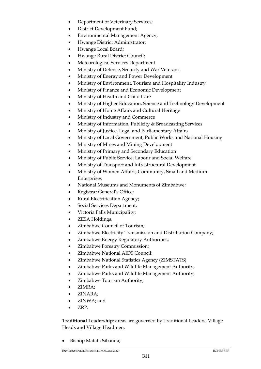- Department of Veterinary Services;
- District Development Fund;
- Environmental Management Agency;
- Hwange District Administrator;
- Hwange Local Board;
- Hwange Rural District Council;
- Meteorological Services Department
- Ministry of Defence, Security and War Veteran's
- Ministry of Energy and Power Development
- Ministry of Environment, Tourism and Hospitality Industry
- Ministry of Finance and Economic Development
- Ministry of Health and Child Care
- Ministry of Higher Education, Science and Technology Development
- Ministry of Home Affairs and Cultural Heritage
- Ministry of Industry and Commerce
- Ministry of Information, Publicity & Broadcasting Services
- Ministry of Justice, Legal and Parliamentary Affairs
- Ministry of Local Government, Public Works and National Housing
- Ministry of Mines and Mining Development
- Ministry of Primary and Secondary Education
- Ministry of Public Service, Labour and Social Welfare
- Ministry of Transport and Infrastructural Development
- Ministry of Women Affairs, Community, Small and Medium Enterprises
- National Museums and Monuments of Zimbabwe;
- Registrar General's Office;
- Rural Electrification Agency;
- Social Services Department;
- Victoria Falls Municipality;
- ZESA Holdings;
- Zimbabwe Council of Tourism;
- Zimbabwe Electricity Transmission and Distribution Company;
- Zimbabwe Energy Regulatory Authorities;
- Zimbabwe Forestry Commission;
- Zimbabwe National AIDS Council;
- Zimbabwe National Statistics Agency (ZIMSTATS)
- Zimbabwe Parks and Wildlife Management Authority;
- Zimbabwe Parks and Wildlife Management Authority;
- Zimbabwe Tourism Authority;
- ZIMRA;
- ZINARA;
- ZINWA; and
- ZRP.

**Traditional Leadership**: areas are governed by Traditional Leaders, Village Heads and Village Headmen:

Bishop Matata Sibanda;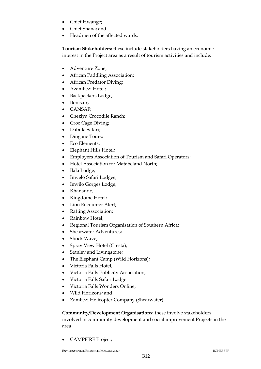- Chief Hwange;
- Chief Shana; and
- Headmen of the affected wards.

**Tourism Stakeholders:** these include stakeholders having an economic interest in the Project area as a result of tourism activities and include:

- Adventure Zone;
- African Paddling Association;
- African Predator Diving;
- Azambezi Hotel;
- Backpackers Lodge;
- Bonisair;
- CANSAF;
- Cheziya Crocodile Ranch;
- Croc Cage Diving;
- Dabula Safari;
- Dingane Tours;
- Eco Elements;
- Elephant Hills Hotel;
- Employers Association of Tourism and Safari Operators;
- Hotel Association for Matabeland North;
- Ilala Lodge;
- Imvelo Safari Lodges;
- Imvilo Gorges Lodge;
- Khanando;
- Kingdome Hotel;
- Lion Encounter Alert;
- Rafting Association;
- Rainbow Hotel;
- Regional Tourism Organisation of Southern Africa;
- Shearwater Adventures:
- Shock Wave;
- Spray View Hotel (Cresta);
- Stanley and Livingstone;
- The Elephant Camp (Wild Horizons);
- Victoria Falls Hotel;
- Victoria Falls Publicity Association;
- Victoria Falls Safari Lodge
- Victoria Falls Wonders Online;
- Wild Horizons; and
- Zambezi Helicopter Company (Shearwater).

**Community/Development Organisations:** these involve stakeholders involved in community development and social improvement Projects in the area

• CAMPFIRE Project;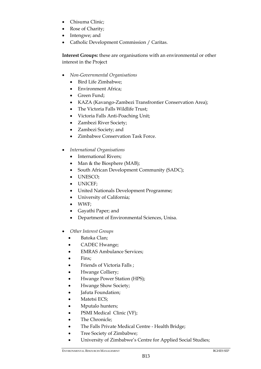- Chisuma Clinic;
- Rose of Charity;
- Intengwe; and
- Catholic Development Commission / Caritas.

**Interest Groups:** these are organisations with an environmental or other interest in the Project

- *Non-Governmental Organisations*
	- Bird Life Zimbabwe;
	- Environment Africa;
	- Green Fund:
	- KAZA (Kavango-Zambezi Transfrontier Conservation Area);
	- The Victoria Falls Wildlife Trust;
	- Victoria Falls Anti-Poaching Unit;
	- Zambezi River Society;
	- Zambezi Society; and
	- Zimbabwe Conservation Task Force.
- *International Organisations* 
	- International Rivers;
	- Man & the Biosphere (MAB);
	- South African Development Community (SADC);
	- UNESCO;
	- UNICEF;
	- United Nationals Development Programme;
	- University of California;
	- WWF;
	- Gayathi Paper; and
	- Department of Environmental Sciences, Unisa.
- *Other Interest Groups* 
	- Batoka Clan;
	- CADEC Hwange;
	- EMRAS Ambulance Services;
	- Finx;
	- Friends of Victoria Falls ;
	- Hwange Colliery;
	- Hwange Power Station (HPS);
	- Hwange Show Society;
	- **Jafuta Foundation**;
	- Matetsi ECS;
	- Mputalo hunters;
	- PSMI Medical Clinic (VF);
	- The Chronicle:
	- The Falls Private Medical Centre Health Bridge;
	- Tree Society of Zimbabwe;
	- University of Zimbabwe's Centre for Applied Social Studies;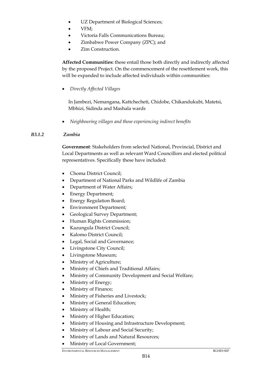- UZ Department of Biological Sciences;
- VFM:
- Victoria Falls Communications Bureau;
- Zimbabwe Power Company (ZPC); and
- Zim Construction.

**Affected Communities:** these entail those both directly and indirectly affected by the proposed Project. On the commencement of the resettlement work, this will be expanded to include affected individuals within communities:

*Directly Affected Villages* 

In Jambezi, Nemangana, Kattchecheti, Chidobe, Chikandukubi, Matetsi, Mbhizi, Sidinda and Mashala wards

*Neighbouring villages and those experiencing indirect benefits* 

# *B3.1.2 Zambia*

**Government**: Stakeholders from selected National, Provincial, District and Local Departments as well as relevant Ward Councillors and elected political representatives. Specifically these have included:

- Choma District Council;
- Department of National Parks and Wildlife of Zambia
- Department of Water Affairs;
- Energy Department;
- Energy Regulation Board;
- Environment Department;
- Geological Survey Department;
- Human Rights Commission;
- Kazungula District Council;
- Kalomo District Council;
- Legal, Social and Governance;
- Livingstone City Council;
- Livingstone Museum;
- Ministry of Agriculture;
- Ministry of Chiefs and Traditional Affairs;
- Ministry of Community Development and Social Welfare;
- Ministry of Energy;
- Ministry of Finance;
- Ministry of Fisheries and Livestock;
- Ministry of General Education;
- Ministry of Health;
- Ministry of Higher Education;
- Ministry of Housing and Infrastructure Development;
- Ministry of Labour and Social Security;
- Ministry of Lands and Natural Resources;
- Ministry of Local Government;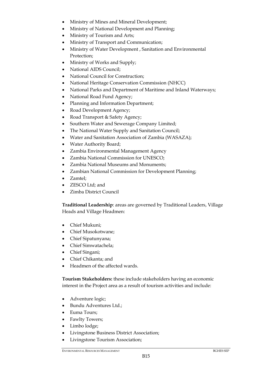- Ministry of Mines and Mineral Development;
- Ministry of National Development and Planning;
- Ministry of Tourism and Arts;
- Ministry of Transport and Communication;
- Ministry of Water Development , Sanitation and Environmental Protection;
- Ministry of Works and Supply;
- National AIDS Council;
- National Council for Construction;
- National Heritage Conservation Commission (NHCC)
- National Parks and Department of Maritime and Inland Waterways;
- National Road Fund Agency;
- Planning and Information Department;
- Road Development Agency;
- Road Transport & Safety Agency;
- Southern Water and Sewerage Company Limited;
- The National Water Supply and Sanitation Council;
- Water and Sanitation Association of Zambia (WASAZA);
- Water Authority Board;
- Zambia Environmental Management Agency
- Zambia National Commission for UNESCO;
- Zambia National Museums and Monuments;
- Zambian National Commission for Development Planning;
- Zamtel:
- **ZESCO** Ltd; and
- Zimba District Council

**Traditional Leadership**: areas are governed by Traditional Leaders, Village Heads and Village Headmen:

- Chief Mukuni;
- Chief Musokotwane;
- Chief Sipatunyana;
- Chief Simwatachela;
- Chief Singani;
- Chief Chikanta; and
- Headmen of the affected wards.

**Tourism Stakeholders:** these include stakeholders having an economic interest in the Project area as a result of tourism activities and include:

- Adventure logic;
- Bundu Adventures Ltd.;
- Euma Tours;
- Fawlty Towers;
- Limbo lodge;
- Livingstone Business District Association;
- Livingstone Tourism Association;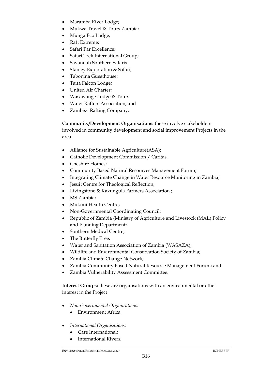- Maramba River Lodge;
- Mukwa Travel & Tours Zambia;
- Munga Eco Lodge;
- Raft Extreme;
- Safari Par Excellence;
- Safari Trek International Group;
- Savannah Southern Safaris
- Stanley Exploration & Safari;
- Tabonina Guesthouse:
- Taita Falcon Lodge;
- United Air Charter;
- Wasawange Lodge & Tours
- Water Rafters Association; and
- Zambezi Rafting Company.

**Community/Development Organisations:** these involve stakeholders involved in community development and social improvement Projects in the area

- Alliance for Sustainable Agriculture(ASA);
- Catholic Development Commission / Caritas.
- Cheshire Homes:
- Community Based Natural Resources Management Forum;
- Integrating Climate Change in Water Resource Monitoring in Zambia;
- Jesuit Centre for Theological Reflection;
- Livingstone & Kazungula Farmers Association ;
- MS Zambia:
- Mukuni Health Centre;
- Non-Governmental Coordinating Council;
- Republic of Zambia (Ministry of Agriculture and Livestock (MAL) Policy and Planning Department;
- Southern Medical Centre;
- The Butterfly Tree:
- Water and Sanitation Association of Zambia (WASAZA);
- Wildlife and Environmental Conservation Society of Zambia;
- Zambia Climate Change Network;
- Zambia Community Based Natural Resource Management Forum; and
- Zambia Vulnerability Assessment Committee.

**Interest Groups:** these are organisations with an environmental or other interest in the Project

- *Non-Governmental Organisations:* 
	- Environment Africa.
- *International Organisations:* 
	- Care International;
	- International Rivers;

B16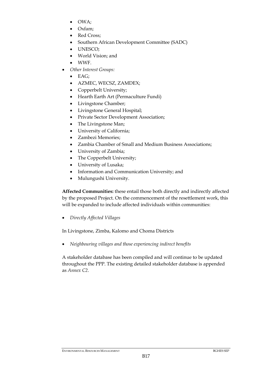- OWA;
- Oxfam;
- Red Cross;
- Southern African Development Committee (SADC)
- UNESCO;
- World Vision; and
- WWF.
- *Other Interest Groups:* 
	- $\bullet$  EAG:
	- AZMEC, WECSZ, ZAMDEX;
	- Copperbelt University;
	- Hearth Earth Art (Permaculture Fundi)
	- Livingstone Chamber;
	- Livingstone General Hospital;
	- Private Sector Development Association;
	- The Livingstone Man;
	- University of California;
	- Zambezi Memories:
	- Zambia Chamber of Small and Medium Business Associations;
	- University of Zambia;
	- The Copperbelt University;
	- University of Lusaka;
	- Information and Communication University; and
	- Mulungushi University.

**Affected Communities:** these entail those both directly and indirectly affected by the proposed Project. On the commencement of the resettlement work, this will be expanded to include affected individuals within communities:

*Directly Affected Villages* 

In Livingstone, Zimba, Kalomo and Choma Districts

*Neighbouring villages and those experiencing indirect benefits* 

A stakeholder database has been compiled and will continue to be updated throughout the PPP. The existing detailed stakeholder database is appended as *Annex C2*.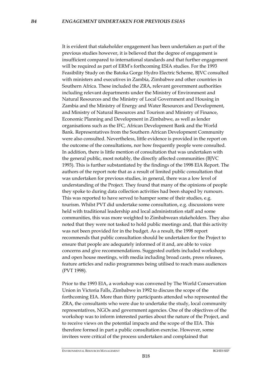It is evident that stakeholder engagement has been undertaken as part of the previous studies however, it is believed that the degree of engagement is insufficient compared to international standards and that further engagement will be required as part of ERM's forthcoming ESIA studies. For the 1993 Feasibility Study on the Batoka Gorge Hydro Electric Scheme, BJVC consulted with ministers and executives in Zambia, Zimbabwe and other countries in Southern Africa. These included the ZRA, relevant government authorities including relevant departments under the Ministry of Environment and Natural Resources and the Ministry of Local Government and Housing in Zambia and the Ministry of Energy and Water Resources and Development, and Ministry of Natural Resources and Tourism and Ministry of Finance, Economic Planning and Development in Zimbabwe, as well as lender organisations such as the IFC, African Development Bank and the World Bank. Representatives from the Southern African Development Community were also consulted. Nevertheless, little evidence is provided in the report on the outcome of the consultations, nor how frequently people were consulted. In addition, there is little mention of consultation that was undertaken with the general public, most notably, the directly affected communities (BJVC 1993). This is further substantiated by the findings of the 1998 EIA Report. The authors of the report note that as a result of limited public consultation that was undertaken for previous studies, in general, there was a low level of understanding of the Project. They found that many of the opinions of people they spoke to during data collection activities had been shaped by rumours. This was reported to have served to hamper some of their studies, e.g. tourism. Whilst PVT did undertake some consultation, e.g. discussions were held with traditional leadership and local administration staff and some communities, this was more weighted to Zimbabwean stakeholders. They also noted that they were not tasked to hold public meetings and, that this activity was not been provided for in the budget. As a result, the 1998 report recommends that public consultation should be undertaken for the Project to ensure that people are adequately informed of it and, are able to voice concerns and give recommendations. Suggested outlets included workshops and open house meetings, with media including broad casts, press releases, feature articles and radio programmes being utilised to reach mass audiences (PVT 1998).

Prior to the 1993 EIA, a workshop was convened by The World Conservation Union in Victoria Falls, Zimbabwe in 1992 to discuss the scope of the forthcoming EIA. More than thirty participants attended who represented the ZRA, the consultants who were due to undertake the study, local community representatives, NGOs and government agencies. One of the objectives of the workshop was to inform interested parties about the nature of the Project, and to receive views on the potential impacts and the scope of the EIA. This therefore formed in part a public consultation exercise. However, some invitees were critical of the process undertaken and complained that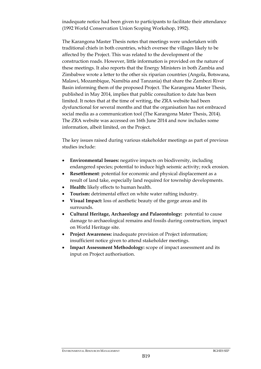inadequate notice had been given to participants to facilitate their attendance (1992 World Conservation Union Scoping Workshop, 1992).

The Karangona Master Thesis notes that meetings were undertaken with traditional chiefs in both countries, which oversee the villages likely to be affected by the Project. This was related to the development of the construction roads. However, little information is provided on the nature of these meetings. It also reports that the Energy Ministers in both Zambia and Zimbabwe wrote a letter to the other six riparian countries (Angola, Botswana, Malawi, Mozambique, Namibia and Tanzania) that share the Zambezi River Basin informing them of the proposed Project. The Karangona Master Thesis, published in May 2014, implies that public consultation to date has been limited. It notes that at the time of writing, the ZRA website had been dysfunctional for several months and that the organisation has not embraced social media as a communication tool (The Karangona Mater Thesis, 2014). The ZRA website was accessed on 16th June 2014 and now includes some information, albeit limited, on the Project.

The key issues raised during various stakeholder meetings as part of previous studies include:

- **Environmental Issues:** negative impacts on biodiversity, including endangered species; potential to induce high seismic activity; rock erosion.
- **Resettlement**: potential for economic and physical displacement as a result of land take, especially land required for township developments.
- **Health:** likely effects to human health.
- **Tourism:** detrimental effect on white water rafting industry.
- **Visual Impact:** loss of aesthetic beauty of the gorge areas and its surrounds.
- **Cultural Heritage, Archaeology and Palaeontology:** potential to cause damage to archaeological remains and fossils during construction, impact on World Heritage site.
- **Project Awareness:** inadequate provision of Project information; insufficient notice given to attend stakeholder meetings.
- **Impact Assessment Methodology:** scope of impact assessment and its input on Project authorisation.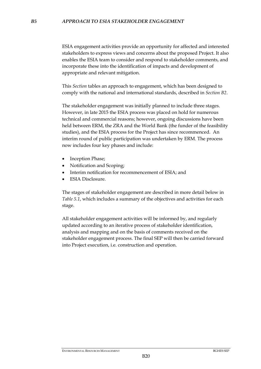ESIA engagement activities provide an opportunity for affected and interested stakeholders to express views and concerns about the proposed Project. It also enables the ESIA team to consider and respond to stakeholder comments, and incorporate these into the identification of impacts and development of appropriate and relevant mitigation.

This *Section* tables an approach to engagement, which has been designed to comply with the national and international standards, described in *Section B2*.

The stakeholder engagement was initially planned to include three stages. However, in late 2015 the ESIA process was placed on hold for numerous technical and commercial reasons; however, ongoing discussions have been held between ERM, the ZRA and the World Bank (the funder of the feasibility studies), and the ESIA process for the Project has since recommenced. An interim round of public participation was undertaken by ERM. The process now includes four key phases and include:

- Inception Phase;
- Notification and Scoping;
- Interim notification for recommencement of ESIA; and
- ESIA Disclosure.

The stages of stakeholder engagement are described in more detail below in *Table 5.1*, which includes a summary of the objectives and activities for each stage.

All stakeholder engagement activities will be informed by, and regularly updated according to an iterative process of stakeholder identification, analysis and mapping and on the basis of comments received on the stakeholder engagement process. The final SEP will then be carried forward into Project execution, i.e. construction and operation.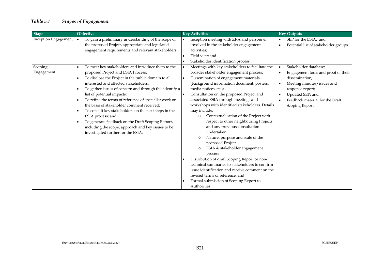# *Table 5.1 Stages of Engagement*

| Stage                 | Objective                                                                                                                                                                                                                                                                                                                                                                                                                                                                                                                                                                                                                                                      | <b>Key Activities</b>                                                                                                                                                                                                                                                                                                                                                                                                                                                                                                                                                                                                                                                                                                                                                                                                                                                                                   | <b>Key Outputs</b>                                                                                                                                                                                                                   |
|-----------------------|----------------------------------------------------------------------------------------------------------------------------------------------------------------------------------------------------------------------------------------------------------------------------------------------------------------------------------------------------------------------------------------------------------------------------------------------------------------------------------------------------------------------------------------------------------------------------------------------------------------------------------------------------------------|---------------------------------------------------------------------------------------------------------------------------------------------------------------------------------------------------------------------------------------------------------------------------------------------------------------------------------------------------------------------------------------------------------------------------------------------------------------------------------------------------------------------------------------------------------------------------------------------------------------------------------------------------------------------------------------------------------------------------------------------------------------------------------------------------------------------------------------------------------------------------------------------------------|--------------------------------------------------------------------------------------------------------------------------------------------------------------------------------------------------------------------------------------|
| Inception Engagement  | To gain a preliminary understanding of the scope of<br>the proposed Project, appropriate and legislated<br>engagement requirements and relevant stakeholders.                                                                                                                                                                                                                                                                                                                                                                                                                                                                                                  | Inception meeting with ZRA and personnel<br>$\bullet$<br>involved in the stakeholder engagement<br>activities;<br>Field visit; and<br>Stakeholder identification process.                                                                                                                                                                                                                                                                                                                                                                                                                                                                                                                                                                                                                                                                                                                               | SEP for the ESIA; and<br>Potential list of stakeholder groups.<br>$\bullet$                                                                                                                                                          |
| Scoping<br>Engagement | To meet key stakeholders and introduce them to the<br>proposed Project and ESIA Process;<br>To disclose the Project in the public domain to all<br>interested and affected stakeholders;<br>To gather issues of concern and through this identify a<br>$\bullet$<br>list of potential impacts;<br>To refine the terms of reference of specialist work on<br>$\bullet$<br>the basis of stakeholder comment received;<br>To consult key stakeholders on the next steps in the<br>$\bullet$<br>ESIA process; and<br>To generate feedback on the Draft Scoping Report,<br>including the scope, approach and key issues to be<br>investigated further for the ESIA. | Meetings with key stakeholders to facilitate the<br>$\bullet$<br>broader stakeholder engagement process;<br>Dissemination of engagement materials<br>(background information document, posters,<br>media notices etc.);<br>Consultation on the proposed Project and<br>associated ESIA through meetings and<br>workshops with identified stakeholders. Details<br>may include:<br>Contextualisation of the Project with<br>$\circ$<br>respect to other neighbouring Projects<br>and any previous consultation<br>undertaken<br>Nature, purpose and scale of the<br>$\circ$<br>proposed Project<br>ESIA & stakeholder engagement<br>$\circ$<br>process<br>Distribution of draft Scoping Report or non-<br>technical summaries to stakeholders to confirm<br>issue identification and receive comment on the<br>revised terms of reference; and<br>Formal submission of Scoping Report to<br>Authorities. | Stakeholder database;<br>Engagement tools and proof of their<br>$\bullet$<br>dissemination;<br>Meeting minutes/issues and<br>response report;<br>Updated SEP; and<br>Feedback material for the Draft<br>$\bullet$<br>Scoping Report. |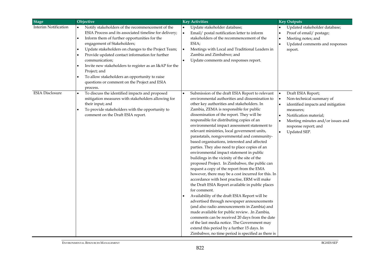| <b>Stage</b>           | Objective                                                                                                                                                                                                                                                                                                                                                                                                                                                                                                                      | <b>Key Activities</b>                                                                                                                                                                                                                                                                                                                                                                                                                                                                                                                                                                                                                                                                                                                                                                                                                                                                                                                                                                                                                                                                                                                                                                                                                                                                                                      | <b>Key Outputs</b>                                                                                                                                                                                                                                                       |
|------------------------|--------------------------------------------------------------------------------------------------------------------------------------------------------------------------------------------------------------------------------------------------------------------------------------------------------------------------------------------------------------------------------------------------------------------------------------------------------------------------------------------------------------------------------|----------------------------------------------------------------------------------------------------------------------------------------------------------------------------------------------------------------------------------------------------------------------------------------------------------------------------------------------------------------------------------------------------------------------------------------------------------------------------------------------------------------------------------------------------------------------------------------------------------------------------------------------------------------------------------------------------------------------------------------------------------------------------------------------------------------------------------------------------------------------------------------------------------------------------------------------------------------------------------------------------------------------------------------------------------------------------------------------------------------------------------------------------------------------------------------------------------------------------------------------------------------------------------------------------------------------------|--------------------------------------------------------------------------------------------------------------------------------------------------------------------------------------------------------------------------------------------------------------------------|
| Interim Notification   | Notify stakeholders of the recommencement of the<br>ESIA Process and its associated timeline for delivery;<br>Inform them of further opportunities for the<br>$\bullet$<br>engagement of Stakeholders;<br>Update stakeholders on changes to the Project Team;<br>Provide updated contact information for further<br>communication;<br>Invite new stakeholders to register as an I&AP for the<br>٠<br>Project; and<br>To allow stakeholders an opportunity to raise<br>questions or comment on the Project and ESIA<br>process. | Update stakeholder database;<br>$\bullet$<br>Email/ postal notification letter to inform<br>stakeholders of the recommencement of the<br>ESIA;<br>Meetings with Local and Traditional Leaders in<br>$\bullet$<br>Zambia and Zimbabwe; and<br>Update comments and responses report.                                                                                                                                                                                                                                                                                                                                                                                                                                                                                                                                                                                                                                                                                                                                                                                                                                                                                                                                                                                                                                         | Updated stakeholder database;<br>Proof of email/ postage;<br>Meeting notes; and<br>Updated comments and responses<br>$\bullet$<br>report.                                                                                                                                |
| <b>ESIA</b> Disclosure | To discuss the identified impacts and proposed<br>mitigation measures with stakeholders allowing for<br>their input; and<br>To provide stakeholders with the opportunity to<br>$\bullet$<br>comment on the Draft ESIA report.                                                                                                                                                                                                                                                                                                  | Submission of the draft ESIA Report to relevant<br>$\bullet$<br>environmental authorities and dissemination to<br>other key authorities and stakeholders. In<br>Zambia, ZEMA is responsible for public<br>dissemination of the report. They will be<br>responsible for distributing copies of an<br>environmental impact assessment statement to<br>relevant ministries, local government units,<br>parastatals, nongovernmental and community-<br>based organisations, interested and affected<br>parties. They also need to place copies of an<br>environmental impact statement in public<br>buildings in the vicinity of the site of the<br>proposed Project. In Zimbabwe, the public can<br>request a copy of the report from the EMA<br>however, there may be a cost incurred for this. In<br>accordance with best practise, ERM will make<br>the Draft ESIA Report available in public places<br>for comment.<br>Availability of the draft ESIA Report will be<br>advertised through newspaper announcements<br>(and also radio announcements in Zambia) and<br>made available for public review. .In Zambia,<br>comments can be received 20 days from the date<br>of the last media notice. The Government may<br>extend this period by a further 15 days. In<br>Zimbabwe, no time period is specified as there is | Draft ESIA Report;<br>$\bullet$<br>Non-technical summary of<br>$\bullet$<br>identified impacts and mitigation<br>$\bullet$<br>measures;<br>Notification material;<br>$\bullet$<br>Meeting minutes and/or issues and<br>response report; and<br>Updated SEP.<br>$\bullet$ |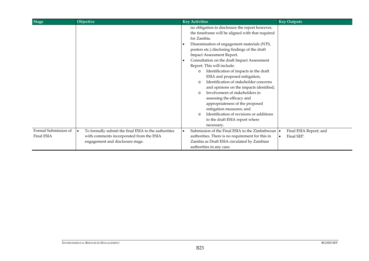| <b>Stage</b>                              | Objective                                                                                                                            | <b>Key Activities</b>                                                                                                                                                                                                                                                                                                                                                                                                                                                                                                                                                                                                                                                                                                                           | <b>Key Outputs</b>                   |
|-------------------------------------------|--------------------------------------------------------------------------------------------------------------------------------------|-------------------------------------------------------------------------------------------------------------------------------------------------------------------------------------------------------------------------------------------------------------------------------------------------------------------------------------------------------------------------------------------------------------------------------------------------------------------------------------------------------------------------------------------------------------------------------------------------------------------------------------------------------------------------------------------------------------------------------------------------|--------------------------------------|
|                                           |                                                                                                                                      | no obligation to disclosure the report however,<br>the timeframe will be aligned with that required<br>for Zambia.<br>Dissemination of engagement materials (NTS,<br>posters etc.) disclosing findings of the draft<br>Impact Assessment Report.<br>Consultation on the draft Impact Assessment<br>Report. This will include:<br>Identification of impacts in the draft<br>$\circ$<br>ESIA and proposed mitigation;<br>Identification of stakeholder concerns<br>$\Omega$<br>and opinions on the impacts identified;<br>Involvement of stakeholders in<br>assessing the efficacy and<br>appropriateness of the proposed<br>mitigation measures; and<br>Identification of revisions or additions<br>to the draft ESIA report where<br>necessary. |                                      |
| Formal Submission of<br><b>Final ESIA</b> | To formally submit the final ESIA to the authorities<br>with comments incorporated from the ESIA<br>engagement and disclosure stage. | Submission of the Final ESIA to the Zimbabwean   •<br>authorities. There is no requirement for this in<br>Zambia as Draft ESIA circulated by Zambian<br>authorities in any case.                                                                                                                                                                                                                                                                                                                                                                                                                                                                                                                                                                | Final ESIA Report; and<br>Final SEP. |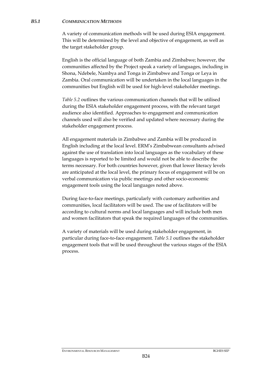#### *B5.1 COMMUNICATION METHODS*

A variety of communication methods will be used during ESIA engagement. This will be determined by the level and objective of engagement, as well as the target stakeholder group.

English is the official language of both Zambia and Zimbabwe; however, the communities affected by the Project speak a variety of languages, including in Shona, Ndebele, Nambya and Tonga in Zimbabwe and Tonga or Leya in Zambia. Oral communication will be undertaken in the local languages in the communities but English will be used for high-level stakeholder meetings.

*Table 5.2* outlines the various communication channels that will be utilised during the ESIA stakeholder engagement process, with the relevant target audience also identified. Approaches to engagement and communication channels used will also be verified and updated where necessary during the stakeholder engagement process.

All engagement materials in Zimbabwe and Zambia will be produced in English including at the local level. ERM's Zimbabwean consultants advised against the use of translation into local languages as the vocabulary of these languages is reported to be limited and would not be able to describe the terms necessary. For both countries however, given that lower literacy levels are anticipated at the local level, the primary focus of engagement will be on verbal communication via public meetings and other socio-economic engagement tools using the local languages noted above.

During face-to-face meetings, particularly with customary authorities and communities, local facilitators will be used. The use of facilitators will be according to cultural norms and local languages and will include both men and women facilitators that speak the required languages of the communities.

A variety of materials will be used during stakeholder engagement, in particular during face-to-face engagement. *Table 5.1* outlines the stakeholder engagement tools that will be used throughout the various stages of the ESIA process.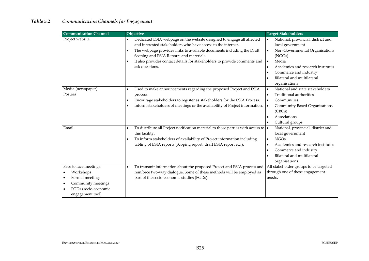# *Table 5.2 Communication Channels for Engagement*

| <b>Communication Channel</b> | Objective                                                                                 | <b>Target Stakeholders</b>                        |
|------------------------------|-------------------------------------------------------------------------------------------|---------------------------------------------------|
| Project website              | Dedicated ESIA webpage on the website designed to engage all affected                     | National, provincial, district and<br>$\bullet$   |
|                              | and interested stakeholders who have access to the internet.                              | local government                                  |
|                              | The webpage provides links to available documents including the Draft                     | Non-Governmental Organisations<br>$\bullet$       |
|                              | Scoping and ESIA Reports and materials.                                                   | (NGOs)                                            |
|                              | It also provides contact details for stakeholders to provide comments and                 | Media<br>∣•                                       |
|                              | ask questions.                                                                            | Academics and research institutes<br>$\bullet$    |
|                              |                                                                                           | Commerce and industry<br>$\bullet$                |
|                              |                                                                                           | Bilateral and multilateral<br>$\bullet$           |
|                              |                                                                                           | organisations                                     |
| Media (newspaper)            | Used to make announcements regarding the proposed Project and ESIA                        | National and state stakeholders<br>$\bullet$      |
| Posters                      | process.                                                                                  | Traditional authorities<br>$\bullet$              |
|                              | Encourage stakeholders to register as stakeholders for the ESIA Process.                  | Communities<br>$\bullet$                          |
|                              | Inform stakeholders of meetings or the availability of Project information.               | <b>Community Based Organisations</b><br>$\bullet$ |
|                              |                                                                                           | (CBOs)                                            |
|                              |                                                                                           | Associations<br>$\bullet$                         |
|                              |                                                                                           | Cultural groups                                   |
| Email                        | To distribute all Project notification material to those parties with access to $\bullet$ | National, provincial, district and                |
|                              | this facility.                                                                            | local government                                  |
|                              | To inform stakeholders of availability of Project information including                   | <b>NGOs</b><br>$\bullet$                          |
|                              | tabling of ESIA reports (Scoping report, draft ESIA report etc.).                         | Academics and research institutes<br>$\bullet$    |
|                              |                                                                                           | Commerce and industry<br>$\bullet$                |
|                              |                                                                                           | Bilateral and multilateral<br>$\bullet$           |
|                              |                                                                                           | organisations                                     |
| Face to face meetings:       | To transmit information about the proposed Project and ESIA process and                   | All stakeholder groups to be targeted             |
| Workshops                    | reinforce two-way dialogue. Some of these methods will be employed as                     | through one of these engagement                   |
| Formal meetings              | part of the socio-economic studies (FGDs).                                                | needs.                                            |
| Community meetings           |                                                                                           |                                                   |
| FGDs (socio-economic         |                                                                                           |                                                   |
| engagement tool)             |                                                                                           |                                                   |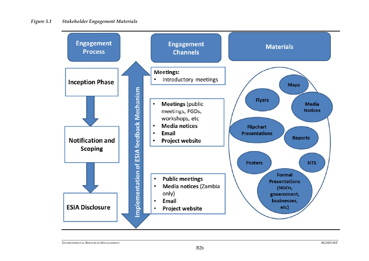

ENVIRONMENTAL RESOURCES MANAGEMENT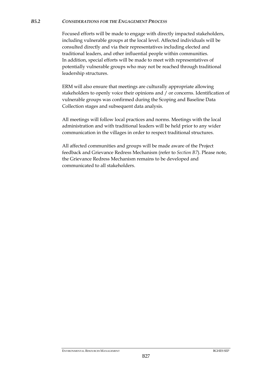#### *B5.2 CONSIDERATIONS FOR THE ENGAGEMENT PROCESS*

Focused efforts will be made to engage with directly impacted stakeholders, including vulnerable groups at the local level. Affected individuals will be consulted directly and via their representatives including elected and traditional leaders, and other influential people within communities. In addition, special efforts will be made to meet with representatives of potentially vulnerable groups who may not be reached through traditional leadership structures.

ERM will also ensure that meetings are culturally appropriate allowing stakeholders to openly voice their opinions and / or concerns. Identification of vulnerable groups was confirmed during the Scoping and Baseline Data Collection stages and subsequent data analysis.

All meetings will follow local practices and norms. Meetings with the local administration and with traditional leaders will be held prior to any wider communication in the villages in order to respect traditional structures.

All affected communities and groups will be made aware of the Project feedback and Grievance Redress Mechanism (refer to *Section B7*). Please note, the Grievance Redress Mechanism remains to be developed and communicated to all stakeholders.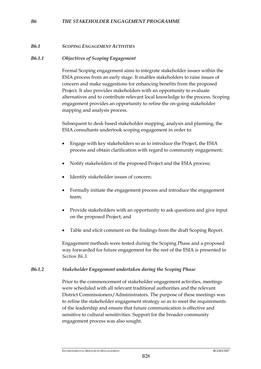#### *B6 THE STAKEHOLDER ENGAGEMENT PROGRAMME*

#### *B6.1 SCOPING ENGAGEMENT ACTIVITIES*

#### *B6.1.1 Objectives of Scoping Engagement*

Formal Scoping engagement aims to integrate stakeholder issues within the ESIA process from an early stage. It enables stakeholders to raise issues of concern and make suggestions for enhancing benefits from the proposed Project. It also provides stakeholders with an opportunity to evaluate alternatives and to contribute relevant local knowledge to the process. Scoping engagement provides an opportunity to refine the on-going stakeholder mapping and analysis process.

Subsequent to desk based stakeholder mapping, analysis and planning, the ESIA consultants undertook scoping engagement in order to:

- Engage with key stakeholders so as to introduce the Project, the ESIA process and obtain clarification with regard to community engagement;
- Notify stakeholders of the proposed Project and the ESIA process;
- Identify stakeholder issues of concern;
- Formally initiate the engagement process and introduce the engagement team;
- Provide stakeholders with an opportunity to ask questions and give input on the proposed Project; and
- Table and elicit comment on the findings from the draft Scoping Report.

Engagement methods were tested during the Scoping Phase and a proposed way forwarded for future engagement for the rest of the ESIA is presented in *Section B6.3.*

#### *B6.1.2 Stakeholder Engagement undertaken during the Scoping Phase*

Prior to the commencement of stakeholder engagement activities, meetings were scheduled with all relevant traditional authorities and the relevant District Commissioners/Administrators. The purpose of these meetings was to refine the stakeholder engagement strategy so as to meet the requirements of the leadership and ensure that future communication is effective and sensitive to cultural sensitivities. Support for the broader community engagement process was also sought.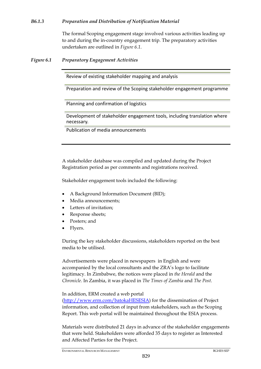# *B6.1.3 Preparation and Distribution of Notification Material*

The formal Scoping engagement stage involved various activities leading up to and during the in-country engagement trip. The preparatory activities undertaken are outlined in *Figure 6.1*.

*Figure 6.1 Preparatory Engagement Activities* 

Review of existing stakeholder mapping and analysis

Preparation and review of the Scoping stakeholder engagement programme

Planning and confirmation of logistics

Development of stakeholder engagement tools, including translation where necessary.

Publication of media announcements

A stakeholder database was compiled and updated during the Project Registration period as per comments and registrations received.

Stakeholder engagement tools included the following:

- A Background Information Document (BID);
- Media announcements;
- Letters of invitation;
- Response sheets;
- Posters; and
- Flyers.

During the key stakeholder discussions, stakeholders reported on the best media to be utilised.

Advertisements were placed in newspapers in English and were accompanied by the local consultants and the ZRA's logo to facilitate legitimacy. In Zimbabwe, the notices were placed in *the Herald* and the *Chronicle.* In Zambia, it was placed in *The Times of Zambia* and *The Post*.

In addition, ERM created a web portal

(http://www.erm.com/batokaHESESIA) for the dissemination of Project information, and collection of input from stakeholders, such as the Scoping Report. This web portal will be maintained throughout the ESIA process.

Materials were distributed 21 days in advance of the stakeholder engagements that were held. Stakeholders were afforded 35 days to register as Interested and Affected Parties for the Project.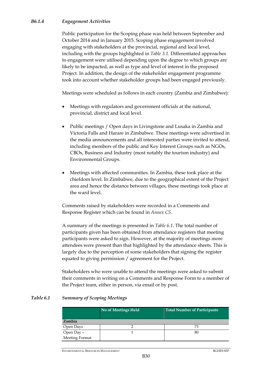# *B6.1.4 Engagement Activities*

Public participation for the Scoping phase was held between September and October 2014 and in January 2015. Scoping phase engagement involved engaging with stakeholders at the provincial, regional and local level, including with the groups highlighted in *Table 3.1*. Differentiated approaches to engagement were utilised depending upon the degree to which groups are likely to be impacted, as well as type and level of interest in the proposed Project. In addition, the design of the stakeholder engagement programme took into account whether stakeholder groups had been engaged previously.

Meetings were scheduled as follows in each country (Zambia and Zimbabwe):

- Meetings with regulators and government officials at the national, provincial, district and local level.
- Public meetings / Open days in Livingstone and Lusaka in Zambia and Victoria Falls and Harare in Zimbabwe. These meetings were advertised in the media announcements and all interested parties were invited to attend, including members of the public and Key Interest Groups such as NGOs, CBOs, Business and Industry (most notably the tourism industry) and Environmental Groups.
- Meetings with affected communities. In Zambia, these took place at the chiefdom level. In Zimbabwe, due to the geographical extent of the Project area and hence the distance between villages, these meetings took place at the ward level.

Comments raised by stakeholders were recorded in a Comments and Response Register which can be found in *Annex C5*.

A summary of the meetings is presented in *Table 6.1*. The total number of participants given has been obtained from attendance registers that meeting participants were asked to sign. However, at the majority of meetings more attendees were present than that highlighted by the attendance sheets. This is largely due to the perception of some stakeholders that signing the register equated to giving permission / agreement for the Project.

Stakeholders who were unable to attend the meetings were asked to submit their comments in writing on a Comments and Response Form to a member of the Project team, either in person, via email or by post.

#### *Table 6.1 Summary of Scoping Meetings*

|                | No of Meetings Held | <b>Total Number of Participants</b> |
|----------------|---------------------|-------------------------------------|
| <b>Zambia</b>  |                     |                                     |
| Open Days      |                     | 73                                  |
| Open Day -     |                     | 80                                  |
| Meeting Format |                     |                                     |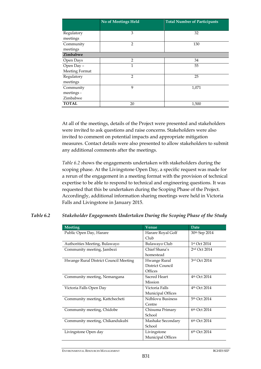|                | No of Meetings Held | <b>Total Number of Participants</b> |
|----------------|---------------------|-------------------------------------|
|                |                     |                                     |
| Regulatory     | 3                   | 32                                  |
| meetings       |                     |                                     |
| Community      | $\overline{2}$      | 130                                 |
| meetings       |                     |                                     |
| Zimbabwe       |                     |                                     |
| Open Days      | $\overline{2}$      | 34                                  |
| Open Day -     | 1                   | 55                                  |
| Meeting Format |                     |                                     |
| Regulatory     | $\overline{2}$      | 25                                  |
| meetings       |                     |                                     |
| Community      | 9                   | 1,071                               |
| meetings -     |                     |                                     |
| Zimbabwe       |                     |                                     |
| <b>TOTAL</b>   | 20                  | 1,500                               |

At all of the meetings, details of the Project were presented and stakeholders were invited to ask questions and raise concerns. Stakeholders were also invited to comment on potential impacts and appropriate mitigation measures. Contact details were also presented to allow stakeholders to submit any additional comments after the meetings.

*Table 6.2 s*hows the engagements undertaken with stakeholders during the scoping phase. At the Livingstone Open Day, a specific request was made for a rerun of the engagement in a meeting format with the provision of technical expertise to be able to respond to technical and engineering questions. It was requested that this be undertaken during the Scoping Phase of the Project. Accordingly, additional information sharing meetings were held in Victoria Falls and Livingstone in January 2015.

#### *Table 6.2 Stakeholder Engagements Undertaken During the Scoping Phase of the Study*

| <b>Meeting</b>                        | Venue                   | Date                     |
|---------------------------------------|-------------------------|--------------------------|
| Public Open Day, Harare               | Harare Royal Golf       | 30th Sep 2014            |
|                                       | Club                    |                          |
| Authorities Meeting, Bulawayo         | <b>Bulawayo Club</b>    | 1st Oct 2014             |
| Community meeting, Jambezi            | Chief Shana's           | 2nd Oct 2014             |
|                                       | homestead               |                          |
| Hwange Rural District Council Meeting | Hwange Rural            | 3rd Oct 2014             |
|                                       | District Council        |                          |
|                                       | Offices                 |                          |
| Community meeting, Nemangana          | Sacred Heart            | 4 <sup>th</sup> Oct 2014 |
|                                       | Mission                 |                          |
| Victoria Falls Open Day               | Victoria Falls          | 4 <sup>th</sup> Oct 2014 |
|                                       | Municipal Offices       |                          |
| Community meeting, Kattchecheti       | <b>Ndhlovu Business</b> | 5th Oct 2014             |
|                                       | Centre                  |                          |
| Community meeting, Chidobe            | Chisuma Primary         | 6th Oct 2014             |
|                                       | School                  |                          |
| Community meeting, Chikandukubi       | Mashake Secondary       | 6th Oct 2014             |
|                                       | School                  |                          |
| Livingstone Open day                  | Livingstone             | 6th Oct 2014             |
|                                       | Municipal Offices       |                          |

ENVIRONMENTAL RESOURCES MANAGEMENT BGHES SEP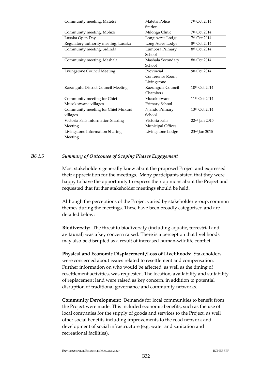| Community meeting, Matetsi           | Matetsi Police    | 7th Oct 2014              |
|--------------------------------------|-------------------|---------------------------|
|                                      | Station           |                           |
| Community meeting, Mbhizi            | Milonga Clinic    | 7th Oct 2014              |
| Lusaka Open Day                      | Long Acres Lodge  | 7th Oct 2014              |
| Regulatory authority meeting, Lusaka | Long Acres Lodge  | 8th Oct 2014              |
| Community meeting, Sidinda           | Lumbora Primary   | 8th Oct 2014              |
|                                      | School            |                           |
| Community meeting, Mashala           | Mashala Secondary | 8th Oct 2014              |
|                                      | School            |                           |
| Livingstone Council Meeting          | Provincial        | 9th Oct 2014              |
|                                      | Conference Room,  |                           |
|                                      | Livingstone       |                           |
| Kazangulu District Council Meeting   | Kazungula Council | 10th Oct 2014             |
|                                      | Chambers          |                           |
| Community meeting for Chief          | Musokotwane       | 11 <sup>th</sup> Oct 2014 |
| Musokotwane villages                 | Primary School    |                           |
| Community meeting for Chief Mukuni   | Njando Primary    | 13th Oct 2014             |
| villages                             | School            |                           |
| Victoria Falls Information Sharing   | Victoria Falls    | 22nd Jan 2015             |
| Meeting                              | Municipal Offices |                           |
| Livingstone Information Sharing      | Livingstone Lodge | 23rd Jan 2015             |
| Meeting                              |                   |                           |

# *B6.1.5 Summary of Outcomes of Scoping Phases Engagement*

Most stakeholders generally knew about the proposed Project and expressed their appreciation for the meetings. Many participants stated that they were happy to have the opportunity to express their opinions about the Project and requested that further stakeholder meetings should be held.

Although the perceptions of the Project varied by stakeholder group, common themes during the meetings. These have been broadly categorised and are detailed below:

**Biodiversity:** The threat to biodiversity (including aquatic, terrestrial and avifaunal) was a key concern raised. There is a perception that livelihoods may also be disrupted as a result of increased human-wildlife conflict.

**Physical and Economic Displacement /Loss of Livelihoods:** Stakeholders were concerned about issues related to resettlement and compensation. Further information on who would be affected, as well as the timing of resettlement activities, was requested. The location, availability and suitability of replacement land were raised as key concern, in addition to potential disruption of traditional governance and community networks.

**Community Development:** Demands for local communities to benefit from the Project were made. This included economic benefits, such as the use of local companies for the supply of goods and services to the Project, as well other social benefits including improvements to the road network and development of social infrastructure (e.g. water and sanitation and recreational facilities).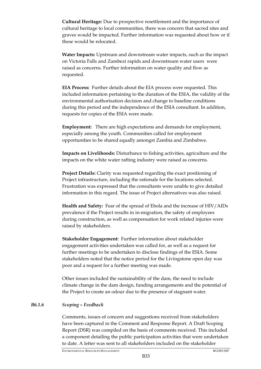**Cultural Heritage:** Due to prospective resettlement and the importance of cultural heritage to local communities, there was concern that sacred sites and graves would be impacted. Further information was requested about how or if these would be relocated.

**Water Impacts:** Upstream and downstream water impacts, such as the impact on Victoria Falls and Zambezi rapids and downstream water users were raised as concerns. Further information on water quality and flow as requested.

**EIA Process:** Further details about the EIA process were requested. This included information pertaining to the duration of the ESIA, the validity of the environmental authorisation decision and change to baseline conditions during this period and the independence of the ESIA consultant. In addition, requests for copies of the ESIA were made.

**Employment:** There are high expectations and demands for employment, especially among the youth. Communities called for employment opportunities to be shared equally amongst Zambia and Zimbabwe.

**Impacts on Livelihoods:** Disturbance to fishing activities, agriculture and the impacts on the white water rafting industry were raised as concerns.

**Project Details:** Clarity was requested regarding the exact positioning of Project infrastructure, including the rationale for the locations selected. Frustration was expressed that the consultants were unable to give detailed information in this regard. The issue of Project alternatives was also raised.

**Health and Safety:** Fear of the spread of Ebola and the increase of HIV/AIDs prevalence if the Project results in in-migration, the safety of employees during construction, as well as compensation for work related injuries were raised by stakeholders.

**Stakeholder Engagement:** Further information about stakeholder engagement activities undertaken was called for, as well as a request for further meetings to be undertaken to disclose findings of the ESIA. Some stakeholders noted that the notice period for the Livingstone open day was poor and a request for a further meeting was made.

Other issues included the sustainability of the dam, the need to include climate change in the dam design, funding arrangements and the potential of the Project to create an odour due to the presence of stagnant water.

# *B6.1.6 Scoping – Feedback*

Comments, issues of concern and suggestions received from stakeholders have been captured in the Comment and Response Report. A Draft Scoping Report (DSR) was compiled on the basis of comments received. This included a component detailing the public participation activities that were undertaken to date. A letter was sent to all stakeholders included on the stakeholder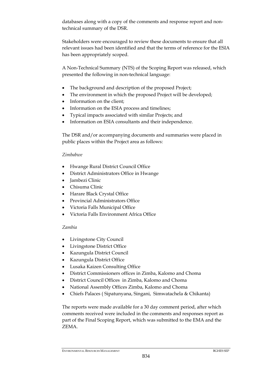databases along with a copy of the comments and response report and nontechnical summary of the DSR.

Stakeholders were encouraged to review these documents to ensure that all relevant issues had been identified and that the terms of reference for the ESIA has been appropriately scoped.

A Non-Technical Summary (NTS) of the Scoping Report was released, which presented the following in non-technical language:

- The background and description of the proposed Project;
- The environment in which the proposed Project will be developed;
- Information on the client;
- Information on the ESIA process and timelines;
- Typical impacts associated with similar Projects; and
- Information on ESIA consultants and their independence.

The DSR and/or accompanying documents and summaries were placed in public places within the Project area as follows:

# *Zimbabwe*

- Hwange Rural District Council Office
- District Administrators Office in Hwange
- Iambezi Clinic
- Chisuma Clinic
- Harare Black Crystal Office
- Provincial Administrators Office
- Victoria Falls Municipal Office
- Victoria Falls Environment Africa Office

# *Zambia*

- Livingstone City Council
- Livingstone District Office
- Kazungula District Council
- Kazungula District Office
- Lusaka Kaizen Consulting Office
- District Commissioners offices in Zimba, Kalomo and Choma
- District Council Offices in Zimba, Kalomo and Choma
- National Assembly Offices Zimba, Kalomo and Choma
- Chiefs Palaces ( Sipatunyana, Singani, Simwatachela & Chikanta)

The reports were made available for a 30 day comment period, after which comments received were included in the comments and responses report as part of the Final Scoping Report, which was submitted to the EMA and the ZEMA.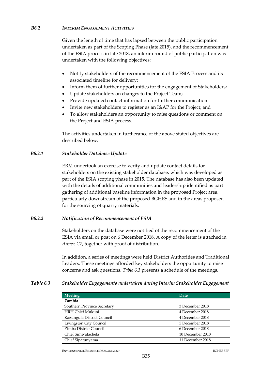# *B6.2 INTERIM ENGAGEMENT ACTIVITIES*

Given the length of time that has lapsed between the public participation undertaken as part of the Scoping Phase (late 2015), and the recommencement of the ESIA process in late 2018, an interim round of public participation was undertaken with the following objectives:

- Notify stakeholders of the recommencement of the ESIA Process and its associated timeline for delivery;
- Inform them of further opportunities for the engagement of Stakeholders;
- Update stakeholders on changes to the Project Team;
- Provide updated contact information for further communication
- Invite new stakeholders to register as an I&AP for the Project; and
- To allow stakeholders an opportunity to raise questions or comment on the Project and ESIA process.

The activities undertaken in furtherance of the above stated objectives are described below.

# *B6.2.1 Stakeholder Database Update*

ERM undertook an exercise to verify and update contact details for stakeholders on the existing stakeholder database, which was developed as part of the ESIA scoping phase in 2015. The database has also been updated with the details of additional communities and leadership identified as part gathering of additional baseline information in the proposed Project area, particularly downstream of the proposed BGHES and in the areas proposed for the sourcing of quarry materials.

# *B6.2.2 Notification of Recommencement of ESIA*

Stakeholders on the database were notified of the recommencement of the ESIA via email or post on 6 December 2018. A copy of the letter is attached in *Annex C7*, together with proof of distribution.

In addition, a series of meetings were held District Authorities and Traditional Leaders. These meetings afforded key stakeholders the opportunity to raise concerns and ask questions. *Table 6.3* presents a schedule of the meetings.

# *Table 6.3 Stakeholder Engagements undertaken during Interim Stakeholder Engagement*

| <b>Meeting</b>              | Date             |
|-----------------------------|------------------|
| Zambia                      |                  |
| Southern Province Secretary | 3 December 2018  |
| <b>HRH Chief Mukuni</b>     | 4 December 2018  |
| Kazungula District Council  | 4 December 2018  |
| Livingston City Council     | 5 December 2018  |
| Zimba District Council      | 6 December 2018  |
| Chief Simwatachela          | 10 December 2018 |
| Chief Sipatunyama           | 11 December 2018 |

ENVIRONMENTAL RESOURCES MANAGEMENT BGHES SEP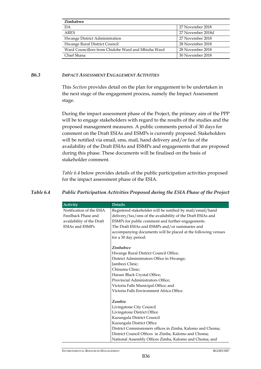| Zimbabwe                                           |                   |
|----------------------------------------------------|-------------------|
| DA                                                 | 27 November 2018  |
| AREX                                               | 27 November 2018d |
| Hwange District Administration                     | 27 November 2018  |
| Hwange Rural District Council                      | 28 November 2018  |
| Ward Councillors from Chidobe Ward and Mbizha Ward | 28 November 2018  |
| Chief Shana                                        | 30 November 2018  |

#### *B6.3 IMPACT ASSESSMENT ENGAGEMENT ACTIVITIES*

This *Section* provides detail on the plan for engagement to be undertaken in the next stage of the engagement process, namely the Impact Assessment stage.

During the impact assessment phase of the Project, the primary aim of the PPP will be to engage stakeholders with regard to the results of the studies and the proposed management measures. A public comments period of 30 days for comment on the Draft ESIAs and ESMPs is currently proposed. Stakeholders will be notified via email, sms, mail, hand delivery and/or fax of the availability of the Draft ESIAs and ESMPs and engagements that are proposed during this phase. These documents will be finalised on the basis of stakeholder comment.

*Table 6.4* below provides details of the public participation activities proposed for the impact assessment phase of the ESIA.

| <b>Activity</b>           | <b>Details</b>                                                |
|---------------------------|---------------------------------------------------------------|
| Notification of the ESIA  | Registered stakeholder will be notified by mail/email/hand    |
| Feedback Phase and        | delivery/fax/sms of the availability of the Draft ESIAs and   |
| availability of the Draft | ESMPs for public comment and further engagements.             |
| ESIAs and ESMPs           | The Draft ESIAs and ESMPs and/or summaries and                |
|                           | accompanying documents will be placed at the following venues |
|                           | for a 30 day period:                                          |
|                           | Zimbabwe                                                      |
|                           | Hwange Rural District Council Office;                         |
|                           | District Administrators Office in Hwange;                     |
|                           | Jambezi Clinic;                                               |
|                           | Chisuma Clinic;                                               |
|                           | Harare Black Crystal Office;                                  |
|                           | Provincial Administrators Office;                             |
|                           | Victoria Falls Municipal Office; and                          |
|                           | Victoria Falls Environment Africa Office.                     |
|                           | Zambia                                                        |
|                           | Livingstone City Council                                      |
|                           | Livingstone District Office                                   |
|                           | Kazungula District Council                                    |
|                           | Kazungula District Office                                     |
|                           | District Commissioners offices in Zimba, Kalomo and Choma;    |
|                           | District Council Offices in Zimba, Kalomo and Choma;          |
|                           | National Assembly Offices Zimba, Kalomo and Choma; and        |

# *Table 6.4 Public Participation Activities Proposed during the ESIA Phase of the Project*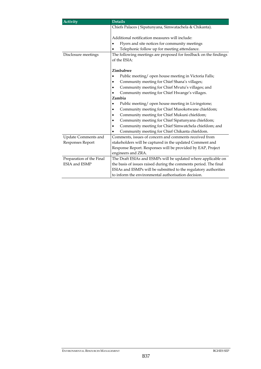| <b>Activity</b>             | <b>Details</b>                                                   |  |
|-----------------------------|------------------------------------------------------------------|--|
|                             | Chiefs Palaces (Sipatunyana, Simwatachela & Chikanta).           |  |
|                             |                                                                  |  |
|                             | Additional notification measures will include:                   |  |
|                             | Flyers and site notices for community meetings                   |  |
|                             | Telephonic follow up for meeting attendance.                     |  |
| Disclosure meetings         | The following meetings are proposed for feedback on the findings |  |
|                             | of the ESIA:                                                     |  |
|                             |                                                                  |  |
|                             | Zimbabwe                                                         |  |
|                             | Public meeting/ open house meeting in Victoria Falls;            |  |
|                             | Community meeting for Chief Shana's villages;                    |  |
|                             | Community meeting for Chief Mvutu's villages; and                |  |
|                             | Community meeting for Chief Hwange's villages.                   |  |
|                             | Zambia                                                           |  |
|                             | Public meeting/ open house meeting in Livingstone;               |  |
|                             | Community meeting for Chief Musokotwane chiefdom;<br>٠           |  |
|                             | Community meeting for Chief Mukuni chiefdom;                     |  |
|                             | Community meeting for Chief Sipatunyana chiefdom;                |  |
|                             | Community meeting for Chief Simwatchela chiefdom; and            |  |
|                             | Community meeting for Chief Chikanta chiefdom.                   |  |
| Update Comments and         | Comments, issues of concern and comments received from           |  |
| Responses Report            | stakeholders will be captured in the updated Comment and         |  |
|                             | Response Report. Responses will be provided by EAP, Project      |  |
|                             | engineers and ZRA.                                               |  |
| Preparation of the Final    | The Draft ESIAs and ESMPs will be updated where applicable on    |  |
| <b>ESIA</b> and <b>ESMP</b> | the basis of issues raised during the comments period. The final |  |
|                             | ESIAs and ESMPs will be submitted to the regulatory authorities  |  |
|                             | to inform the environmental authorisation decision.              |  |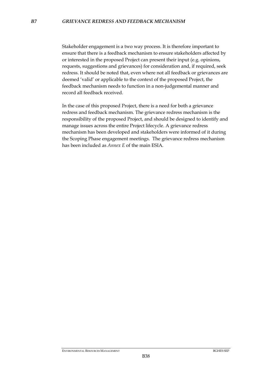Stakeholder engagement is a two way process. It is therefore important to ensure that there is a feedback mechanism to ensure stakeholders affected by or interested in the proposed Project can present their input (e.g. opinions, requests, suggestions and grievances) for consideration and, if required, seek redress. It should be noted that, even where not all feedback or grievances are deemed 'valid' or applicable to the context of the proposed Project, the feedback mechanism needs to function in a non-judgemental manner and record all feedback received.

In the case of this proposed Project, there is a need for both a grievance redress and feedback mechanism. The grievance redress mechanism is the responsibility of the proposed Project, and should be designed to identify and manage issues across the entire Project lifecycle. A grievance redress mechanism has been developed and stakeholders were informed of it during the Scoping Phase engagement meetings. The grievance redress mechanism has been included as *Annex E* of the main ESIA*.*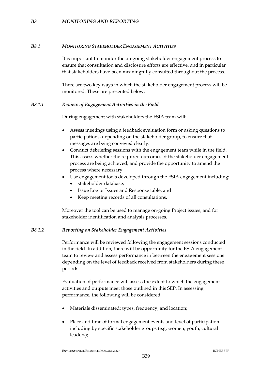### *B8 MONITORING AND REPORTING*

#### *B8.1 MONITORING STAKEHOLDER ENGAGEMENT ACTIVITIES*

It is important to monitor the on-going stakeholder engagement process to ensure that consultation and disclosure efforts are effective, and in particular that stakeholders have been meaningfully consulted throughout the process.

There are two key ways in which the stakeholder engagement process will be monitored. These are presented below.

#### *B8.1.1 Review of Engagement Activities in the Field*

During engagement with stakeholders the ESIA team will:

- Assess meetings using a feedback evaluation form or asking questions to participations, depending on the stakeholder group, to ensure that messages are being conveyed clearly.
- Conduct debriefing sessions with the engagement team while in the field. This assess whether the required outcomes of the stakeholder engagement process are being achieved, and provide the opportunity to amend the process where necessary.
- Use engagement tools developed through the ESIA engagement including:
	- stakeholder database;
	- Issue Log or Issues and Response table; and
	- Keep meeting records of all consultations.

Moreover the tool can be used to manage on-going Project issues, and for stakeholder identification and analysis processes.

# *B8.1.2 Reporting on Stakeholder Engagement Activities*

Performance will be reviewed following the engagement sessions conducted in the field. In addition, there will be opportunity for the ESIA engagement team to review and assess performance in between the engagement sessions depending on the level of feedback received from stakeholders during these periods.

Evaluation of performance will assess the extent to which the engagement activities and outputs meet those outlined in this SEP. In assessing performance, the following will be considered:

- Materials disseminated: types, frequency, and location;
- Place and time of formal engagement events and level of participation including by specific stakeholder groups (e.g. women, youth, cultural leaders);